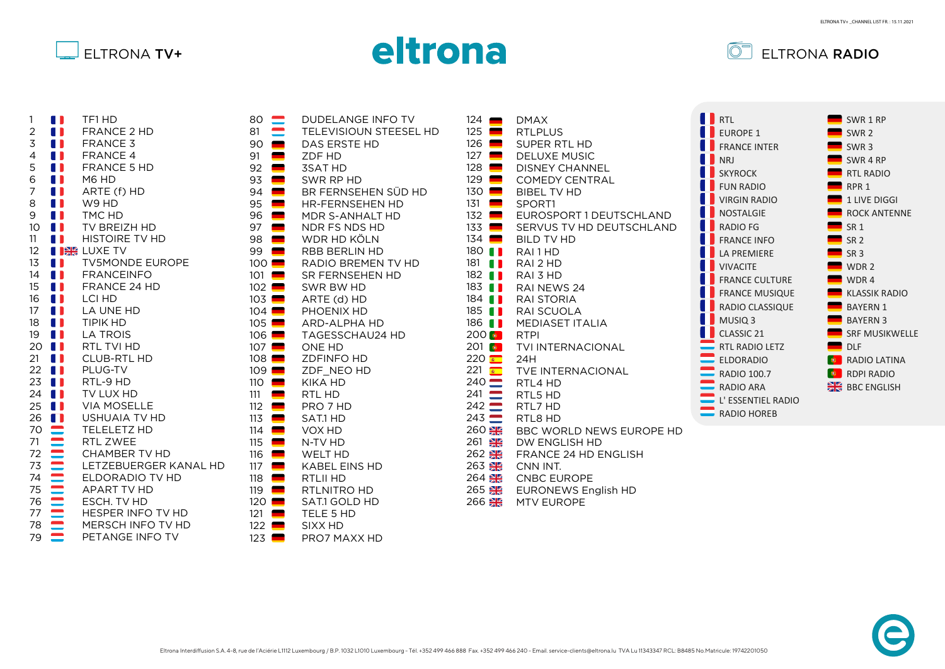





| 1               | 11             | TF1 HD                           |
|-----------------|----------------|----------------------------------|
| $\overline{c}$  | 11             | <b>FRANCE 2 HD</b>               |
| 3               | 0              | <b>FRANCE 3</b>                  |
| $\overline{4}$  | O              | <b>FRANCE 4</b>                  |
| 5               | $\blacksquare$ | FRANCE 5 HD                      |
| 6               |                | <b>I</b> M6 HD                   |
| 7               |                | $\blacksquare$ ARTE (f) HD       |
| 8               |                | $\blacksquare$ W9 HD             |
| 9               |                | <b>I</b> TMC HD                  |
| 10              | 0              | TV BREIZH HD                     |
| 11              | O              | HISTOIRE TV HD                   |
| 12 <sup>2</sup> |                | <b>I BE LUXE TV</b>              |
| 13 <sup>7</sup> | O              | <b>TV5MONDE EUROPE</b>           |
| 14              | <b>I</b>       | <b>FRANCEINFO</b>                |
| 15              |                | <b>I</b> FRANCE 24 HD            |
| 16              |                | <b>I</b> LCI HD                  |
| 17              |                | <b>I</b> LA UNE HD               |
| 18              |                | <b>I</b> TIPIK HD                |
| 19              |                | <b>I</b> LA TROIS                |
| 20              |                | <b>I</b> RTL TVI HD              |
| 21              |                | <b>I</b> CLUB-RTL HD             |
| 22              | $\blacksquare$ | PLUG-TV                          |
| 23              | O              | RTL-9 HD                         |
| 24              | O              | TV LUX HD                        |
| 25              | $\blacksquare$ | <b>VIA MOSELLE</b>               |
| 26              |                | <b>USHUAIA TV HD</b>             |
| 70              |                | TELELETZ HD                      |
| 71              |                | RTL ZWEE                         |
| 72              |                | <b>CHAMBER TV HD</b>             |
| 73              |                | LETZEBUERGER KANAL HD            |
| 74              |                | ELDORADIO TV HD                  |
| 75              |                | <b>APART TV HD</b>               |
| 76              |                | ESCH. TV HD                      |
| 77              |                | HESPER INFO TV HD                |
| 78              |                | MERSCH INFO TV HD                |
| 79              |                | $\frac{1}{2}$<br>PETANGE INFO TV |

| 80<br>$\begin{array}{c}\n81 \\ 90 \\ 91 \\ 92 \\ 33 \\ 45 \\ 67 \\ 98 \\ 990 \\ 100 \\ 101 \\ 102 \\ 103 \\ 104 \\ 105 \\ 106 \\ 7\n\end{array}$ |                 | <b>DUDELANGE INFO TV</b><br>TELEVISIOUN STEESEL HD |
|--------------------------------------------------------------------------------------------------------------------------------------------------|-----------------|----------------------------------------------------|
|                                                                                                                                                  |                 | <b>DAS ERSTE HD</b>                                |
|                                                                                                                                                  |                 | ZDF HD                                             |
|                                                                                                                                                  |                 | <b>3SAT HD</b>                                     |
|                                                                                                                                                  |                 | SWR RP HD<br>BR FERNSEHEN SÜD HD                   |
|                                                                                                                                                  |                 | HR-FERNSEHEN HD                                    |
|                                                                                                                                                  |                 | MDR S-ANHALT HD                                    |
|                                                                                                                                                  |                 | NDR FS NDS HD                                      |
|                                                                                                                                                  |                 | WDR HD KÖLN                                        |
|                                                                                                                                                  |                 | <b>RBB BERLIN HD</b>                               |
|                                                                                                                                                  |                 | RADIO BREMEN TV HD                                 |
|                                                                                                                                                  |                 | SR FERNSEHEN HD                                    |
|                                                                                                                                                  |                 | SWR BW HD                                          |
|                                                                                                                                                  |                 | ARTE (d) HD                                        |
|                                                                                                                                                  |                 | PHOENIX HD                                         |
|                                                                                                                                                  |                 | <b>ARD-ALPHA HD</b>                                |
|                                                                                                                                                  |                 | TAGESSCHAU24 HD                                    |
|                                                                                                                                                  |                 | <b>ONE HD</b>                                      |
|                                                                                                                                                  |                 | <b>ZDFINFO HD</b>                                  |
| 109                                                                                                                                              |                 | ZDF NEO HD                                         |
| 110                                                                                                                                              |                 | <b>KIKA HD</b>                                     |
| 111                                                                                                                                              |                 | RTL HD                                             |
| 112                                                                                                                                              |                 | PRO 7 HD                                           |
| 113                                                                                                                                              |                 | SAT.1 HD                                           |
| 114<br>115                                                                                                                                       |                 | VOX HD<br>N-TV HD                                  |
| 116                                                                                                                                              |                 | <b>WELT HD</b>                                     |
| 117                                                                                                                                              |                 | <b>KABEL EINS HD</b>                               |
| 118                                                                                                                                              |                 | RTLII HD                                           |
| 119                                                                                                                                              |                 | RTLNITRO HD                                        |
| 120                                                                                                                                              | --------------- | SAT.1 GOLD HD                                      |
| 121                                                                                                                                              |                 | TELE 5 HD                                          |
| 122                                                                                                                                              |                 | SIXX HD                                            |
| 123                                                                                                                                              |                 | PRO7 MAXX HD                                       |

| 124                  | <u>e an</u>              | <b>DMAX</b>                |   | RTL                                                                 |
|----------------------|--------------------------|----------------------------|---|---------------------------------------------------------------------|
| 125                  |                          | <b>RTLPLUS</b>             | n | EUR <sub>(</sub>                                                    |
| $126$ $\blacksquare$ |                          | SUPER RTL HD               |   | <b>FRAM</b>                                                         |
| 127                  |                          | <b>DELUXE MUSIC</b>        |   |                                                                     |
| 128                  | $\blacksquare$           | <b>DISNEY CHANNEL</b>      |   | <b>NRJ</b>                                                          |
| 129                  | $\overline{\phantom{0}}$ | <b>COMEDY CENTRAL</b>      |   | <b>SKYR</b>                                                         |
| $130$ $\blacksquare$ |                          | <b>BIBEL TV HD</b>         |   | <b>FUN</b>                                                          |
| 131                  | $\overline{\phantom{0}}$ | SPORT1                     |   | <b>VIRG</b>                                                         |
| $132$ $\blacksquare$ |                          | EUROSPORT 1 DEUTSCHLAND    |   | NOS <sup>-</sup>                                                    |
| 133                  |                          | SERVUS TV HD DEUTSCHLAND   |   | <b>RADI</b>                                                         |
| $134$ $\blacksquare$ |                          | <b>BILD TV HD</b>          |   | <b>FRAM</b>                                                         |
| 180                  | $\blacksquare$           | RAI <sub>1</sub> HD        |   | LA PI                                                               |
| 181                  | a sa                     | RAI 2 HD                   |   | <b>VIVA</b>                                                         |
| 182                  | <b>THE REAL</b>          | RAI 3 HD                   |   | <b>FRAM</b>                                                         |
| 183                  | . .                      | RAI NEWS 24                |   |                                                                     |
| $184$ $\blacksquare$ |                          | <b>RAI STORIA</b>          |   | <b>FRAM</b>                                                         |
| $185$ $\blacksquare$ |                          | RAI SCUOLA                 |   | <b>RADI</b>                                                         |
| 186 <b>   </b>       |                          | <b>MEDIASET ITALIA</b>     |   | <b>MUS</b>                                                          |
| $200$ $\bullet$      |                          | <b>RTPI</b>                |   | CLAS                                                                |
| $201$ $\bullet$      |                          | <b>TVI INTERNACIONAL</b>   |   | $\blacksquare$ RTL F                                                |
| 220 $\blacksquare$   |                          | 24H                        |   | $\equiv$ ELDC                                                       |
| $221$ $\frac{22}{1}$ |                          | TVE INTERNACIONAL          |   |                                                                     |
| $240 \blacksquare$   |                          | RTL4 HD                    |   | $\begin{array}{c}\n\bullet \\ \bullet \\ \bullet\n\end{array}$ RADI |
| $241$ $\blacksquare$ |                          | RTL5 HD                    |   | $\blacksquare$ L'ES:                                                |
| $242 \equiv$         |                          | RTL7 HD                    |   | RADI                                                                |
| $243$ $\blacksquare$ |                          | RTL8 HD                    |   |                                                                     |
| 260 2                |                          | BBC WORLD NEWS EUROPE HD   |   |                                                                     |
| 261                  | $\frac{N}{N}$            | DW ENGLISH HD              |   |                                                                     |
| 262 <b>温</b>         |                          | FRANCE 24 HD ENGLISH       |   |                                                                     |
| 263 黑                |                          | CNN INT.                   |   |                                                                     |
| 264 <b>温</b>         |                          | <b>CNBC EUROPE</b>         |   |                                                                     |
| 265 <b>温</b>         |                          | <b>EURONEWS English HD</b> |   |                                                                     |
| 266 米                |                          | <b>MTV EUROPE</b>          |   |                                                                     |